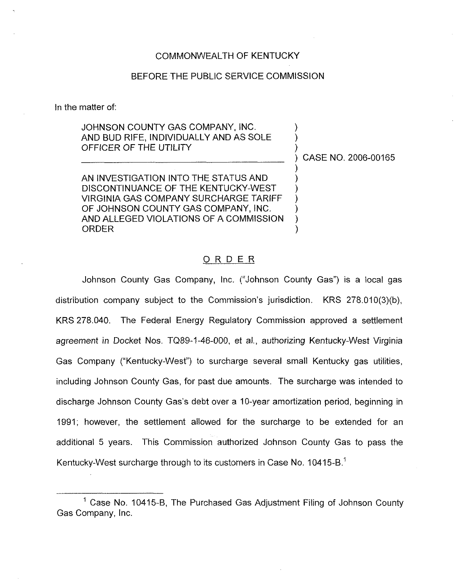#### COMMONWEALTH OF KENTUCKY

### BEFORE THE PUBLIC SERViCE COMMISSION

In the matter of:

## JOHNSON COUNTY GAS COMPANY, INC. AND BUD RIFE, INDIVIDUAlLY AND AS SOLE OFFICER OF THE UTILITY

) CASE NO. 2006-00165 )

) ) )

) ) ) ) ) )

AN INVESTIGATION INTO THE STATUS AND DISCONTINUANCE OF THE KENTUCKY-WEST VIRGINIA GAS COMPANY SURCHARGE TARIFF OF JOHNSON COUNTY GAS COMPANY, INC. AND ALLEGED VIOLATIONS OF A COMMISSION ORDER

#### ORDER

Johnson County Gas Company, Inc. ("Johnson County Gas") is a local gas distribution company subject to the Commission's jurisdiction. KRS 278,010(3)(b), KRS 278.040. The Federal Energy Regulatory Commission approved a settlement agreement in Docket Nos. TQ89-1-46-000, et al., authorizing Kentucky-West Virginia Gas Company ("Kentucky-West") to surcharge several small Kentucky gas utilities including Johnson County Gas, for past due amounts. The surcharge was intended to discharge Johnson County Gas's debt over a 10-year amortization period, beginning in 1991; however, the settlement allowed tor the surcharge to be extended for an additional 5 years. This Commission authorized Johnson County Gas to pass the Kentucky-West surcharge through to its customers in Case No. 10415-B."

 $1$  Case No. 10415-B, The Purchased Gas Adjustment Filing of Johnson County Gas Company, Inc.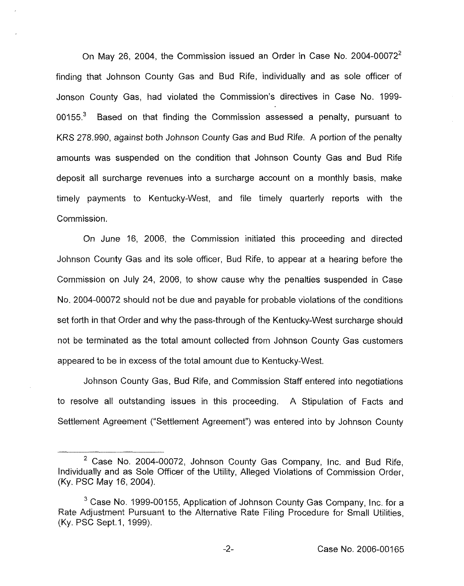On May 26, 2004, the Commission issued an Order in Case No. 2004-00072<sup>2</sup> finding that Johnson County Gas and Bud Rife, individually and as sole officer of Jonson County Gas, had violated the Commission's directives in Case No. 1999- 00155. $3$  Based on that finding the Commission assessed a penalty, pursuant to KRS 278.990, against both Johnson County Gas and Bud Rife. A portion of the penalty amounts was suspended on the condition that Johnson County Gas and Bud Rife deposit all surcharge revenues into a surcharge account on a monthly basis, make timely payments to Kentucky-West, and file timely quarterly reports with the Commission,

On June 16, 2006, the Commission initiated this proceeding and directed Johnson County Gas and its sole officer, Bud Rife, to appear at a hearing before the Commission on July 24, 2006, to show cause why the penalties suspended in Case No. 2004-00072 should not be due and payable for probable violations of the conditions set forth in that Order and why the pass-through of the Kentucky-West surcharge should not be terminated as the total amount collected from Johnson County Gas customers appeared to be in excess of the total amount due to Kentucky-West.

Johnson County Gas, Bud Rife, and Commission Staff entered into negotiations to resolve all outstanding issues in this proceeding. A Stipulation of Facts and Settlement Agreement ("Settlement Agreement") was entered into by Johnson County

 $2$  Case No. 2004-00072, Johnson County Gas Company, Inc. and Bud Rife, Individually and as Sole Officer of the Utility, Alleged Violations of Commission Order, (Ky. PSC May 16, 2004).

 $3$  Case No. 1999-00155, Application of Johnson County Gas Company, Inc. for a Rate Adjustment Pursuant to the Alternative Rate Filing Procedure for Small Utilities, (Ky. PSC Sept.1, 1999).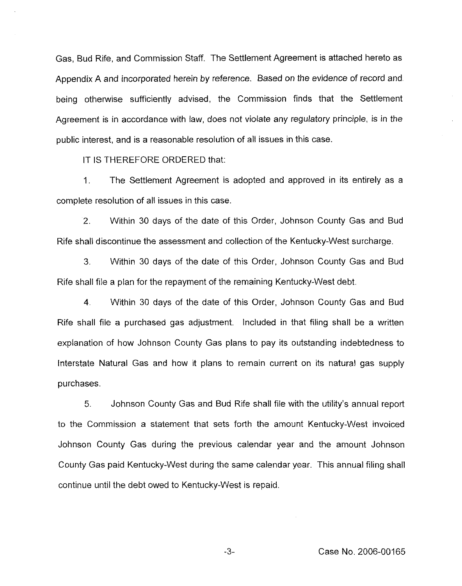Gas, Bud Rife, and Commission Staff. The Settlement Agreement is attached hereto as Appendix A and incorporated herein by reference. Based on the evidence of record and being otherwise sufficiently advised, the Commission finds that the Settlement Agreement is in accordance with faw, does not violate any regulatory principle, is in the public interest, and is a reasonable resolution of all issues in this case.

IT IS THEREFORE ORDERED that:

1. The Settlement Agreement is adopted and approved in its entirely as a complete resolution of all issues in this case.

2. Within 30 days of the date of this Order, Johnson County Gas and Bud Rife shall discontinue the assessment and collection of the Kentucky-West surcharge,

3. Within 30 days of the date of this Order, Johnson County Gas and Bud Rife shall file a plan for the repayment of the remaining Kentucky-West debt.

4. Within 30 days of the date of this Order, Johnson County Gas and Bud Rife shall file a purchased gas adjustment. Included in that filing shall be a written explanation of how Johnson County Gas plans to pay its outstanding indebtedness to Interstate Natural Gas and how it plans to remain current on its natural gas supply purchases.

5. Johnson County Gas and Bud Rife shall file with the utility's annual report to the Commission a statement that sets forth the amount Kentucky-West invoiced Johnson County Gas during the previous calendar year and the amount Johnson County Gas paid Kentucky-West during the same calendar year. This annual filing shall continue until the debt owed to Kentucky-West is repaid,

 $-3-$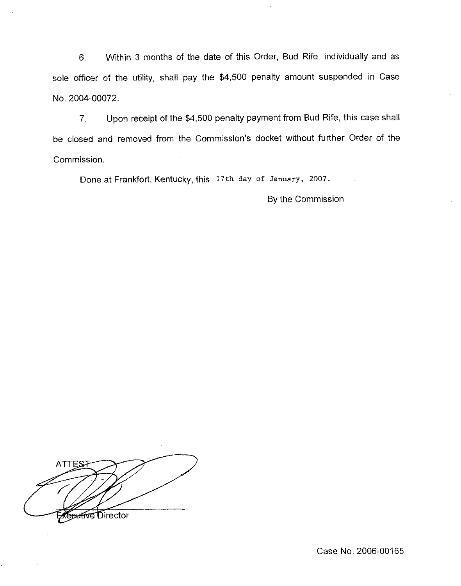6, Within 3 months of the date of this Order, Bud Rife, individually and as sole officer of the utility, shall pay the \$4,500 penalty amount suspended in Case No. 2004-00072.

7. Upon receipt of the \$4,500 penalty payment from Bud Rife, this case shall be closed and removed from the Commission's docket without further Order of the Commission.

Done at Frankfort, Kentucky, this 17th day of January, 2007.

By the Commission

**ATTES** e<del>utive</del> Director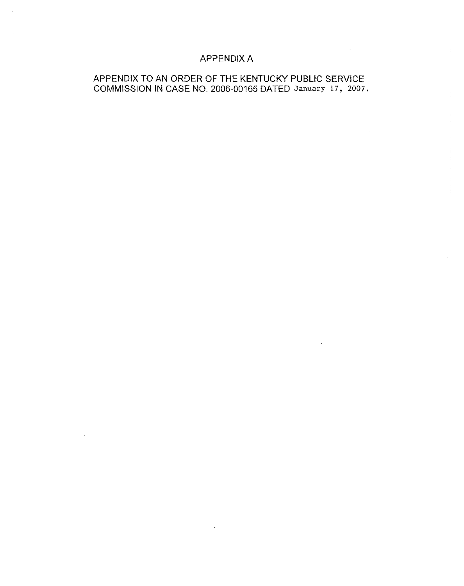# APPENDIX A

 $\sim 10^{11}$  km s  $^{-1}$ 

# APPENDIX TO AN ORDER OF THE KENTUCKY PUBLIC SERVICE COMMISSION IN CASE NO. 2006-00165 DATED January 17, 2007.

 $\sim 10^{-1}$ 

 $\epsilon$ 

 $\sim 10^{-1}$ 

 $\sim 10^7$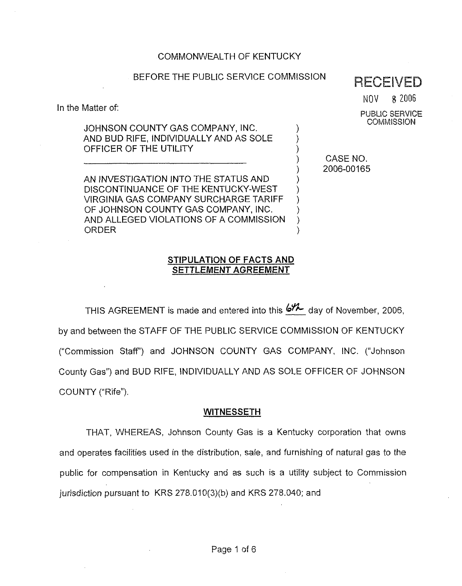## JOHNSON COUNTY GAS COMPANY, INC. AND BUD RIFE, INDIVIDUALLY AND AS SOLE

COMMONWEALTH OF KENTUCKY

OFFICER OF THE UTILITY AN INVESTIGATION INTO THE STATUS AND

In the Matter of:

DISCONTINUANCE OF THE KENTUCKY-WEST VIRGINIA GAS COMPANY SURCHARGE TARIFF OF JOHNSON COUNTY GAS COMPANY, INC. AND ALLEGED VIOLATIONS OF A COMMISSION ORDER

) CASE NO. ) 2006-00165

) ) )

) ) ) ) ) )

# STIPULATION OF FACTS AND SETTLEMENT AGREEMENT

THIS AGREEMENT is made and entered into this  $6\%$  day of November, 2006, by and between the STAFF OF THE PUBLIC SERVICE COMMISSION OF KENTUCKY ("Commission Staft"') and JOHNSON COUNTY GAS COMPANY, INC. ("Johnson County Gas") and BUD RIFE, INDIVIDUALLY AND AS SOLE OFFICER OF JOHNSON COUNTY ("Rife").

# WITNESSETH

THAT, WHEREAS, Johnson County Gas is a Kentucky corporation that owns and operates faciiities used in the distribution, sale, and furnishing of natural gas to the public for compensation in Kentucky and as such is a utility subject to Commission jurisdiction pursuant to KRS 278.010(3)(b) and KRS 278.040; and

# BEFORE THE PUBLIC SERVICE COMMISSION RECEIVED

NOV 8 Z006

PUBLIC SERVICE **COMMISSION**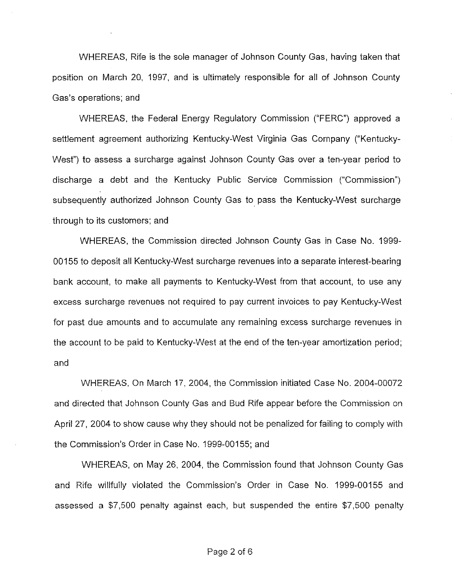WHEREAS, Rife is the sole manager of Johnson County Gas, having taken that position on March 20, 1997, and is ultimately responsibie for all of Johnson County Gas's operations; and

WHEREAS, the Federal Energy Regulatory Commission ("FERC") approved a settlement agreement authorizing Kentucky-West Virginia Gas Company ("Kentucky-West") to assess a surcharge against Johnson County Gas over a ten-year period to discharge a debt and the Kentucky Public Service Commission ("Commission") subsequently authorized Johnson County Gas to pass the Kentucky-West surcharge through to its customers; and

WHEREAS, the Commission directed Johnson County Gas in Case No. 1999- 00155 to deposit all Kentucky-West surcharge revenues into a separate interest-bearing bank account, to make all payments to Kentucky-West from that account, to use any excess surcharge revenues not required to pay current invoices to pay Kentucky-West for past due amounts and to accumulate any remaining excess surcharge revenues in the account to be paid to Kentucky-West at the end of the ten-year amortization period; and

WHEREAS, On March 17, 2004, the Commission initiated Case No. 2004-00072 and directed that Johnson County Gas and Bud Rife appear before the Commission on April 27, 2004 to show cause why they should not be penalized for failing to comply with the Commission's Order in Case No. 1999-00155; and

WHEREAS, on May 26, 2004, the Commission found that Johnson County Gas and Rife willfully violated the Commission's Order in Case No. 1999-00155 and assessed a \$7,500 penalty against each, but suspended the entire \$7,500 penalty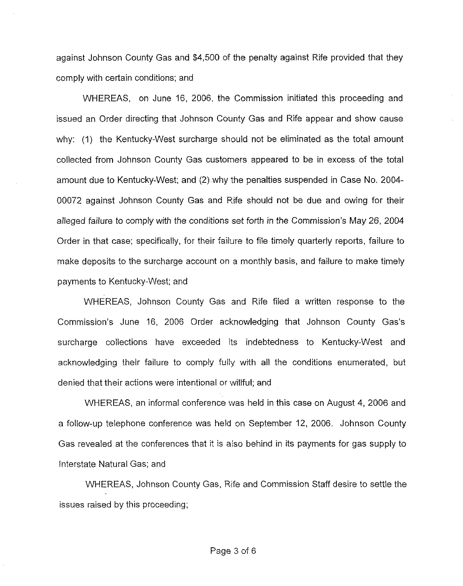against Johnson County Gas and \$4,500 of the penalty against Rife provided that they comply with certain conditions; and

WHEREAS, on June 16, 2006, the Commission initiated this proceeding and issued an Order directing that Johnson County Gas and Rife appear and show cause why: (1) the Kentucky-West surcharge should not be eliminated as the total amount collected from Johnson County Gas customers appeared to be in excess of the total amount due to Kentucky-West; and (2) why the penalties suspended in Case No. 2004- 00072 against Johnson County Gas and Rife should not be due and owing for their alleged failure to comply with the conditions set forth in the Commission's May 26, 2004 Order in that case; specifically, for their failure to file timely quarterly reports, failure to make deposits to the surcharge account on a monthly basis, and failure to make timely payments to Kentucky-West; and

WHEREAS, Johnson County Gas and Rife filed a written response to the Commission's June 16, 2006 Order acknowledging that Johnson County Gas's surcharge collections have exceeded its indebtedness to Kentucky-West and acknowledging their failure to comply fully with all the conditions enumerated, but denied that their actions were intentional or willful; and

WHEREAS, an informal conference was held in this case on August 4, 2006 and a follow-up telephone conference was held on September 12, 2006. Johnson County Gas revealed at the conferences that it is also behind in its payments for gas supply to Interstate Natural Gas; and

WHEREAS, Johnson County Gas, Rife and Commission Staff desire to settle the issues raised by this proceeding;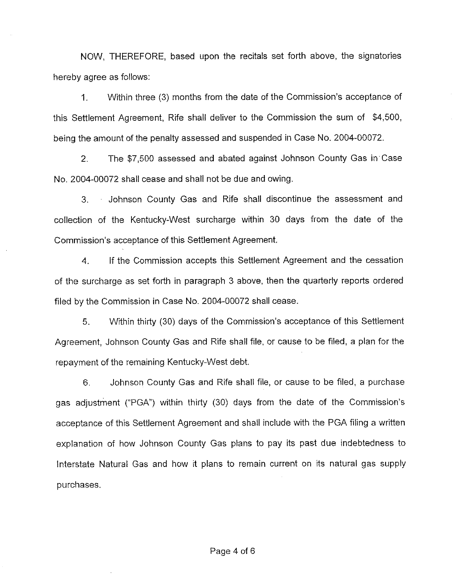NOW, THEREFORE, based upon the recitals set forth above, the signatories hereby agree as follows:

1. Within three (3) months from the date of the Commission's acceptance of this Settlement Agreement, Rife shall deliver to the Commission the sum of \$4,500, being the amount of the penalty assessed and suspended in Case No. 2004-00072.

2. The \$7,500 assessed and abated against Johnson County Gas in Case No. 2004-00072 shall cease and shall not be due and owing.

3. Johnson County Gas and Rife shall discontinue the assessment and collection of the Kentucky-West surcharge within 30 days from the date of the Commission's acceptance of this Settlement Agreement.

4. If the Commission accepts this Settlement Agreement and the cessation of the surcharge as set forth in paragraph 3 above, then the quarterly reports ordered filed by the Commission in Case No. 2004-00072 shall cease.

5. Within thirty (30) days of the Commission's acceptance of this Settlement Agreement, Johnson County Gas and Rife shall file, or cause to be filed, a plan for the repayment of the remaining Kentucky-West debt.

6. Johnson County Gas and Rife shall file, or cause to be filed, a purchase gas adjustment ("PGA") within thirty (30) days from the date of the Commission's acceptance of this Settlement Agreement and shall include with the PGA filing a written explanation of how Johnson County Gas plans to pay its past due indebtedness to Interstate Natural Gas and how it plans to remain current on its natural gas supply purchases.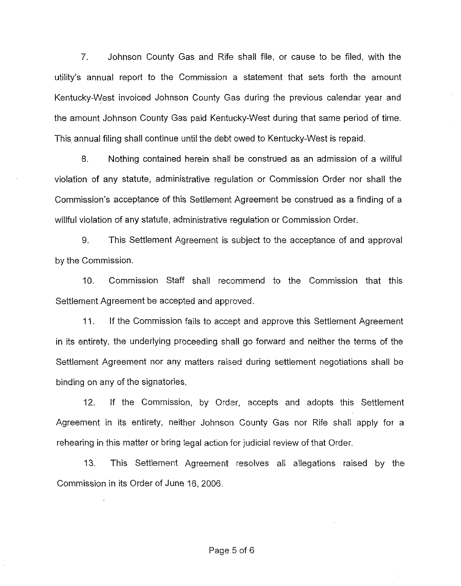7. Johnson County Gas and Rife shall file, or cause to be filed, with the utility's annual report to the Commission a statement that sets forth the amount Kentucky-West invoiced Johnson County Gas during the previous calendar year and the amount Johnson County Gas paid Kentucky-West during that same period of time. This annual filing shall continue until the debt owed to Kentucky-VVest is repaid.

8. Nothing contained herein shall be construed as an admission of a willful violation of any statute, administrative regulation or Commission Order nor shall the Commission's acceptance of this Settlement Agreement be construed as a finding of a willful violation of any statute, administrative regulation or Commission Order.

9. This Settlement Agreement is subject to the acceptance of and approval by the Commission.

10. Commission Staff shall recommend to the Commission that this Settlement Agreement be accepted and approved.

11. If the Commission fails to accept and approve this Settlement Agreement in its entirety, the underlying proceeding shall go forward and neither the terms of the Settlement Agreement nor any matters raised during settlement negotiations shall be binding on any of the signatories,

12. If the Commission, by Order, accepts and adopts this Settlement Agreement in its entirety, neither Johnson County Gas nor Rife shall apply for a rehearing in this matter or bring legal action for judicial review of that Order.

13. This Settlement Agreement resoives all allegations raised by the Commission in its Order of June 16, 2006.